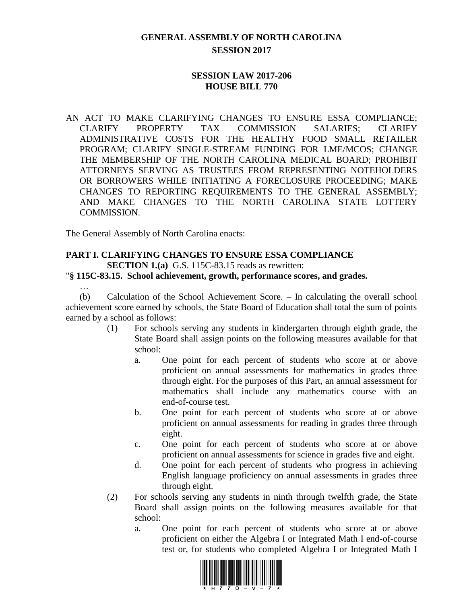# **GENERAL ASSEMBLY OF NORTH CAROLINA SESSION 2017**

### **SESSION LAW 2017-206 HOUSE BILL 770**

AN ACT TO MAKE CLARIFYING CHANGES TO ENSURE ESSA COMPLIANCE; CLARIFY PROPERTY TAX COMMISSION SALARIES; CLARIFY ADMINISTRATIVE COSTS FOR THE HEALTHY FOOD SMALL RETAILER PROGRAM; CLARIFY SINGLE-STREAM FUNDING FOR LME/MCOS; CHANGE THE MEMBERSHIP OF THE NORTH CAROLINA MEDICAL BOARD; PROHIBIT ATTORNEYS SERVING AS TRUSTEES FROM REPRESENTING NOTEHOLDERS OR BORROWERS WHILE INITIATING A FORECLOSURE PROCEEDING; MAKE CHANGES TO REPORTING REQUIREMENTS TO THE GENERAL ASSEMBLY; AND MAKE CHANGES TO THE NORTH CAROLINA STATE LOTTERY COMMISSION.

The General Assembly of North Carolina enacts:

…

# **PART I. CLARIFYING CHANGES TO ENSURE ESSA COMPLIANCE**

**SECTION 1.(a)** G.S. 115C-83.15 reads as rewritten:

#### "**§ 115C-83.15. School achievement, growth, performance scores, and grades.**

(b) Calculation of the School Achievement Score. – In calculating the overall school achievement score earned by schools, the State Board of Education shall total the sum of points earned by a school as follows:

- (1) For schools serving any students in kindergarten through eighth grade, the State Board shall assign points on the following measures available for that school:
	- a. One point for each percent of students who score at or above proficient on annual assessments for mathematics in grades three through eight. For the purposes of this Part, an annual assessment for mathematics shall include any mathematics course with an end-of-course test.
	- b. One point for each percent of students who score at or above proficient on annual assessments for reading in grades three through eight.
	- c. One point for each percent of students who score at or above proficient on annual assessments for science in grades five and eight.
	- d. One point for each percent of students who progress in achieving English language proficiency on annual assessments in grades three through eight.
- (2) For schools serving any students in ninth through twelfth grade, the State Board shall assign points on the following measures available for that school:
	- a. One point for each percent of students who score at or above proficient on either the Algebra I or Integrated Math I end-of-course test or, for students who completed Algebra I or Integrated Math I

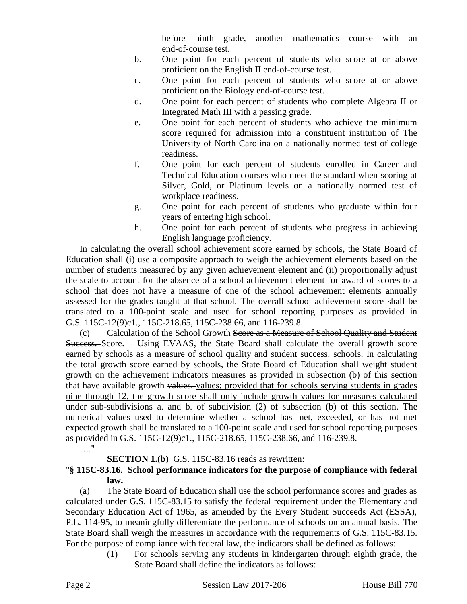before ninth grade, another mathematics course with an end-of-course test.

- b. One point for each percent of students who score at or above proficient on the English II end-of-course test.
- c. One point for each percent of students who score at or above proficient on the Biology end-of-course test.
- d. One point for each percent of students who complete Algebra II or Integrated Math III with a passing grade.
- e. One point for each percent of students who achieve the minimum score required for admission into a constituent institution of The University of North Carolina on a nationally normed test of college readiness.
- f. One point for each percent of students enrolled in Career and Technical Education courses who meet the standard when scoring at Silver, Gold, or Platinum levels on a nationally normed test of workplace readiness.
- g. One point for each percent of students who graduate within four years of entering high school.
- h. One point for each percent of students who progress in achieving English language proficiency.

In calculating the overall school achievement score earned by schools, the State Board of Education shall (i) use a composite approach to weigh the achievement elements based on the number of students measured by any given achievement element and (ii) proportionally adjust the scale to account for the absence of a school achievement element for award of scores to a school that does not have a measure of one of the school achievement elements annually assessed for the grades taught at that school. The overall school achievement score shall be translated to a 100-point scale and used for school reporting purposes as provided in G.S. 115C-12(9)c1., 115C-218.65, 115C-238.66, and 116-239.8.

(c) Calculation of the School Growth Score as a Measure of School Quality and Student Success. Score. – Using EVAAS, the State Board shall calculate the overall growth score earned by schools as a measure of school quality and student success. schools. In calculating the total growth score earned by schools, the State Board of Education shall weight student growth on the achievement indicators measures as provided in subsection (b) of this section that have available growth values. values; provided that for schools serving students in grades nine through 12, the growth score shall only include growth values for measures calculated under sub-subdivisions a. and b. of subdivision (2) of subsection (b) of this section. The numerical values used to determine whether a school has met, exceeded, or has not met expected growth shall be translated to a 100-point scale and used for school reporting purposes as provided in G.S. 115C-12(9)c1., 115C-218.65, 115C-238.66, and 116-239.8.

## **SECTION 1.(b)** G.S. 115C-83.16 reads as rewritten:

### "**§ 115C-83.16. School performance indicators for the purpose of compliance with federal law.**

(a) The State Board of Education shall use the school performance scores and grades as calculated under G.S. 115C-83.15 to satisfy the federal requirement under the Elementary and Secondary Education Act of 1965, as amended by the Every Student Succeeds Act (ESSA), P.L. 114-95, to meaningfully differentiate the performance of schools on an annual basis. The State Board shall weigh the measures in accordance with the requirements of G.S. 115C-83.15. For the purpose of compliance with federal law, the indicators shall be defined as follows:

> (1) For schools serving any students in kindergarten through eighth grade, the State Board shall define the indicators as follows:

…."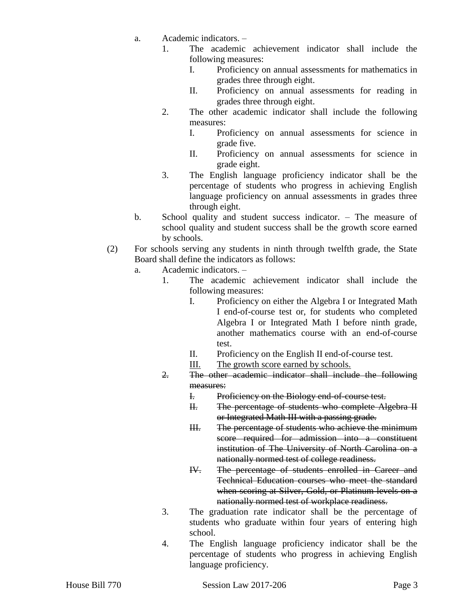- a. Academic indicators.
	- 1. The academic achievement indicator shall include the following measures:
		- I. Proficiency on annual assessments for mathematics in grades three through eight.
		- II. Proficiency on annual assessments for reading in grades three through eight.
	- 2. The other academic indicator shall include the following measures:
		- I. Proficiency on annual assessments for science in grade five.
		- II. Proficiency on annual assessments for science in grade eight.
	- 3. The English language proficiency indicator shall be the percentage of students who progress in achieving English language proficiency on annual assessments in grades three through eight.
- b. School quality and student success indicator. The measure of school quality and student success shall be the growth score earned by schools.
- (2) For schools serving any students in ninth through twelfth grade, the State Board shall define the indicators as follows:
	- a. Academic indicators.
		- 1. The academic achievement indicator shall include the following measures:
			- I. Proficiency on either the Algebra I or Integrated Math I end-of-course test or, for students who completed Algebra I or Integrated Math I before ninth grade, another mathematics course with an end-of-course test.
			- II. Proficiency on the English II end-of-course test.
			- III. The growth score earned by schools.
		- 2. The other academic indicator shall include the following measures:
			- I. Proficiency on the Biology end-of-course test.
			- II. The percentage of students who complete Algebra II or Integrated Math III with a passing grade.
			- III. The percentage of students who achieve the minimum score required for admission into a constituent institution of The University of North Carolina on a nationally normed test of college readiness.
			- IV. The percentage of students enrolled in Career and Technical Education courses who meet the standard when scoring at Silver, Gold, or Platinum levels on a nationally normed test of workplace readiness.
		- 3. The graduation rate indicator shall be the percentage of students who graduate within four years of entering high school.
		- 4. The English language proficiency indicator shall be the percentage of students who progress in achieving English language proficiency.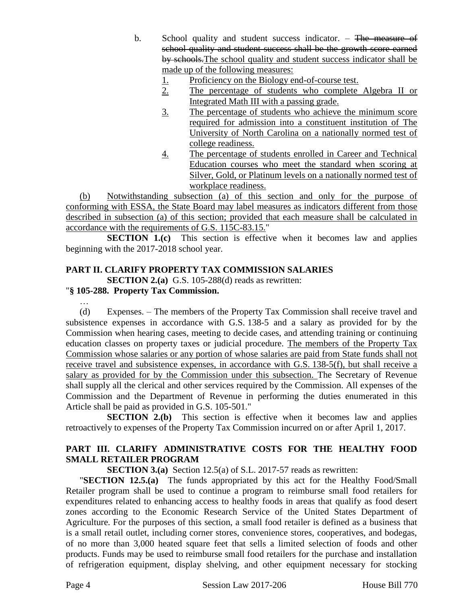- b. School quality and student success indicator. The measure of school quality and student success shall be the growth score earned by schools. The school quality and student success indicator shall be made up of the following measures:
	- 1. Proficiency on the Biology end-of-course test.
	- 2. The percentage of students who complete Algebra II or Integrated Math III with a passing grade.
	- 3. The percentage of students who achieve the minimum score required for admission into a constituent institution of The University of North Carolina on a nationally normed test of college readiness.
	- 4. The percentage of students enrolled in Career and Technical Education courses who meet the standard when scoring at Silver, Gold, or Platinum levels on a nationally normed test of workplace readiness.

(b) Notwithstanding subsection (a) of this section and only for the purpose of conforming with ESSA, the State Board may label measures as indicators different from those described in subsection (a) of this section; provided that each measure shall be calculated in accordance with the requirements of G.S. 115C-83.15."

**SECTION 1.(c)** This section is effective when it becomes law and applies beginning with the 2017-2018 school year.

# **PART II. CLARIFY PROPERTY TAX COMMISSION SALARIES**

**SECTION 2.(a)** G.S. 105-288(d) reads as rewritten:

# "**§ 105-288. Property Tax Commission.**

…

(d) Expenses. – The members of the Property Tax Commission shall receive travel and subsistence expenses in accordance with G.S. 138-5 and a salary as provided for by the Commission when hearing cases, meeting to decide cases, and attending training or continuing education classes on property taxes or judicial procedure. The members of the Property Tax Commission whose salaries or any portion of whose salaries are paid from State funds shall not receive travel and subsistence expenses, in accordance with G.S. 138-5(f), but shall receive a salary as provided for by the Commission under this subsection. The Secretary of Revenue shall supply all the clerical and other services required by the Commission. All expenses of the Commission and the Department of Revenue in performing the duties enumerated in this Article shall be paid as provided in G.S. 105-501."

**SECTION 2.(b)** This section is effective when it becomes law and applies retroactively to expenses of the Property Tax Commission incurred on or after April 1, 2017.

# **PART III. CLARIFY ADMINISTRATIVE COSTS FOR THE HEALTHY FOOD SMALL RETAILER PROGRAM**

**SECTION 3.(a)** Section 12.5(a) of S.L. 2017-57 reads as rewritten:

"**SECTION 12.5.(a)** The funds appropriated by this act for the Healthy Food/Small Retailer program shall be used to continue a program to reimburse small food retailers for expenditures related to enhancing access to healthy foods in areas that qualify as food desert zones according to the Economic Research Service of the United States Department of Agriculture. For the purposes of this section, a small food retailer is defined as a business that is a small retail outlet, including corner stores, convenience stores, cooperatives, and bodegas, of no more than 3,000 heated square feet that sells a limited selection of foods and other products. Funds may be used to reimburse small food retailers for the purchase and installation of refrigeration equipment, display shelving, and other equipment necessary for stocking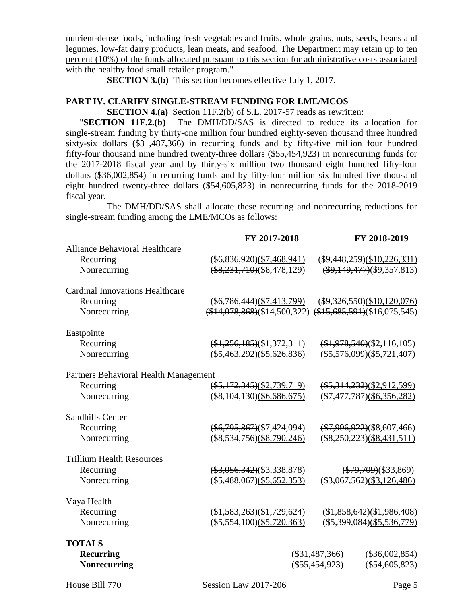nutrient-dense foods, including fresh vegetables and fruits, whole grains, nuts, seeds, beans and legumes, low-fat dairy products, lean meats, and seafood. The Department may retain up to ten percent (10%) of the funds allocated pursuant to this section for administrative costs associated with the healthy food small retailer program."

**SECTION 3.(b)** This section becomes effective July 1, 2017.

#### **PART IV. CLARIFY SINGLE-STREAM FUNDING FOR LME/MCOS**

**SECTION 4.(a)** Section 11F.2(b) of S.L. 2017-57 reads as rewritten:

"**SECTION 11F.2.(b)** The DMH/DD/SAS is directed to reduce its allocation for single-stream funding by thirty-one million four hundred eighty-seven thousand three hundred sixty-six dollars (\$31,487,366) in recurring funds and by fifty-five million four hundred fifty-four thousand nine hundred twenty-three dollars (\$55,454,923) in nonrecurring funds for the 2017-2018 fiscal year and by thirty-six million two thousand eight hundred fifty-four dollars (\$36,002,854) in recurring funds and by fifty-four million six hundred five thousand eight hundred twenty-three dollars (\$54,605,823) in nonrecurring funds for the 2018-2019 fiscal year.

The DMH/DD/SAS shall allocate these recurring and nonrecurring reductions for single-stream funding among the LME/MCOs as follows:

|                                        | FY 2017-2018                | FY 2018-2019                                            |
|----------------------------------------|-----------------------------|---------------------------------------------------------|
| <b>Alliance Behavioral Healthcare</b>  |                             |                                                         |
| Recurring                              | $(*6,836,920)(\$7,468,941)$ | $(*9,448,259)(\$10,226,331)$                            |
| Nonrecurring                           | $(*8,231,710)(\$8,478,129)$ | $(*9,149,477)(\$9,357,813)$                             |
| <b>Cardinal Innovations Healthcare</b> |                             |                                                         |
| Recurring                              | $(*6,786,444)(\$7,413,799)$ | $(*9,326,550)(\$10,120,076)$                            |
| Nonrecurring                           |                             | $($14,078,868)($14,500,322) ($15,685,591)($16,075,545)$ |
| Eastpointe                             |                             |                                                         |
| Recurring                              | $(*1,256,185)(\$1,372,311)$ | $(*1,978,540)(\$2,116,105)$                             |
| Nonrecurring                           | $(*5,463,292)(\$5,626,836)$ | $(*5,576,099)(\$5,721,407)$                             |
| Partners Behavioral Health Management  |                             |                                                         |
| Recurring                              | $(*5,172,345)(\$2,739,719)$ | $(*5,314,232)(\$2,912,599)$                             |
| Nonrecurring                           | $(*8,104,130)(\$6,686,675)$ | $(*7,477,787)(\$6,356,282)$                             |
| Sandhills Center                       |                             |                                                         |
| Recurring                              | $(*6,795,867)(\$7,424,094)$ | $(*7,996,922)(\$8,607,466)$                             |
| Nonrecurring                           | $(*8,534,756)(\$8,790,246)$ | $(*8,250,223)(\$8,431,511)$                             |
| <b>Trillium Health Resources</b>       |                             |                                                         |
| Recurring                              | $(*3,056,342)(\$3,338,878)$ | $(*79,709)(\$33,869)$                                   |
| Nonrecurring                           | $(*5,488,067)(\$5,652,353)$ | $(*3,067,562)(\$3,126,486)$                             |
| Vaya Health                            |                             |                                                         |
| Recurring                              | $(*1,583,263)(\$1,729,624)$ | $(*1,858,642)(\$1,986,408)$                             |
| Nonrecurring                           | $(*5,554,100)(\$5,720,363)$ | $(*5,399,084)(\$5,536,779)$                             |
| <b>TOTALS</b>                          |                             |                                                         |
| <b>Recurring</b>                       |                             | $(\$31,487,366)$<br>$(\$36,002,854)$                    |
| <b>Nonrecurring</b>                    |                             | $(\$55,454,923)$<br>$(\$54,605,823)$                    |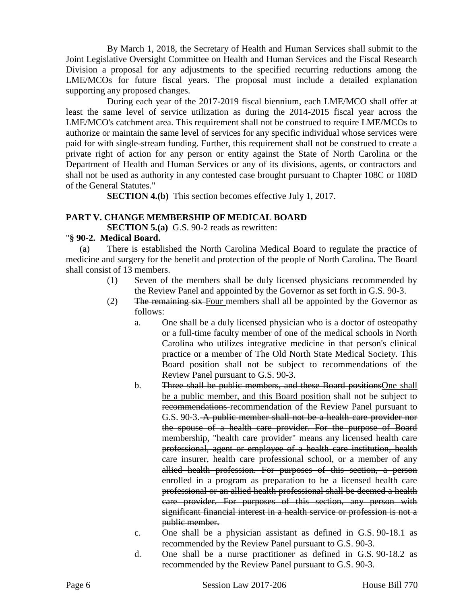By March 1, 2018, the Secretary of Health and Human Services shall submit to the Joint Legislative Oversight Committee on Health and Human Services and the Fiscal Research Division a proposal for any adjustments to the specified recurring reductions among the LME/MCOs for future fiscal years. The proposal must include a detailed explanation supporting any proposed changes.

During each year of the 2017-2019 fiscal biennium, each LME/MCO shall offer at least the same level of service utilization as during the 2014-2015 fiscal year across the LME/MCO's catchment area. This requirement shall not be construed to require LME/MCOs to authorize or maintain the same level of services for any specific individual whose services were paid for with single-stream funding. Further, this requirement shall not be construed to create a private right of action for any person or entity against the State of North Carolina or the Department of Health and Human Services or any of its divisions, agents, or contractors and shall not be used as authority in any contested case brought pursuant to Chapter 108C or 108D of the General Statutes."

**SECTION 4.(b)** This section becomes effective July 1, 2017.

## **PART V. CHANGE MEMBERSHIP OF MEDICAL BOARD**

**SECTION 5.(a)** G.S. 90-2 reads as rewritten:

## "**§ 90-2. Medical Board.**

(a) There is established the North Carolina Medical Board to regulate the practice of medicine and surgery for the benefit and protection of the people of North Carolina. The Board shall consist of 13 members.

- (1) Seven of the members shall be duly licensed physicians recommended by the Review Panel and appointed by the Governor as set forth in G.S. 90-3.
- (2) The remaining six Four members shall all be appointed by the Governor as follows:
	- a. One shall be a duly licensed physician who is a doctor of osteopathy or a full-time faculty member of one of the medical schools in North Carolina who utilizes integrative medicine in that person's clinical practice or a member of The Old North State Medical Society. This Board position shall not be subject to recommendations of the Review Panel pursuant to G.S. 90-3.
	- b. Three shall be public members, and these Board positionsOne shall be a public member, and this Board position shall not be subject to recommendations recommendation of the Review Panel pursuant to G.S. 90-3. A public member shall not be a health care provider nor the spouse of a health care provider. For the purpose of Board membership, "health care provider" means any licensed health care professional, agent or employee of a health care institution, health care insurer, health care professional school, or a member of any allied health profession. For purposes of this section, a person enrolled in a program as preparation to be a licensed health care professional or an allied health professional shall be deemed a health care provider. For purposes of this section, any person with significant financial interest in a health service or profession is not a public member.
	- c. One shall be a physician assistant as defined in G.S. 90-18.1 as recommended by the Review Panel pursuant to G.S. 90-3.
	- d. One shall be a nurse practitioner as defined in G.S. 90-18.2 as recommended by the Review Panel pursuant to G.S. 90-3.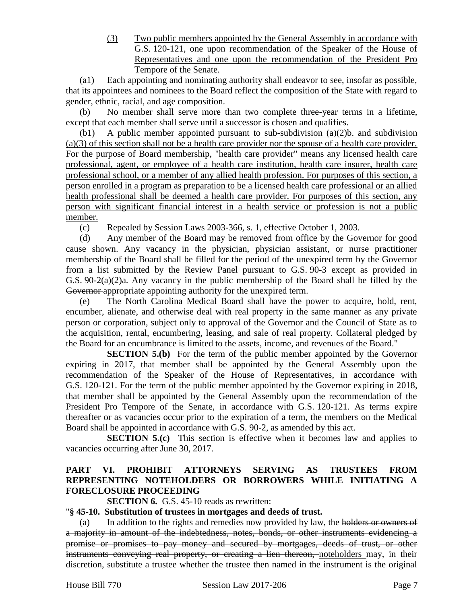(3) Two public members appointed by the General Assembly in accordance with G.S. 120-121, one upon recommendation of the Speaker of the House of Representatives and one upon the recommendation of the President Pro Tempore of the Senate.

(a1) Each appointing and nominating authority shall endeavor to see, insofar as possible, that its appointees and nominees to the Board reflect the composition of the State with regard to gender, ethnic, racial, and age composition.

(b) No member shall serve more than two complete three-year terms in a lifetime, except that each member shall serve until a successor is chosen and qualifies.

(b1) A public member appointed pursuant to sub-subdivision (a)(2)b. and subdivision (a)(3) of this section shall not be a health care provider nor the spouse of a health care provider. For the purpose of Board membership, "health care provider" means any licensed health care professional, agent, or employee of a health care institution, health care insurer, health care professional school, or a member of any allied health profession. For purposes of this section, a person enrolled in a program as preparation to be a licensed health care professional or an allied health professional shall be deemed a health care provider. For purposes of this section, any person with significant financial interest in a health service or profession is not a public member.

(c) Repealed by Session Laws 2003-366, s. 1, effective October 1, 2003.

(d) Any member of the Board may be removed from office by the Governor for good cause shown. Any vacancy in the physician, physician assistant, or nurse practitioner membership of the Board shall be filled for the period of the unexpired term by the Governor from a list submitted by the Review Panel pursuant to G.S. 90-3 except as provided in G.S. 90-2(a)(2)a. Any vacancy in the public membership of the Board shall be filled by the Governor appropriate appointing authority for the unexpired term.

(e) The North Carolina Medical Board shall have the power to acquire, hold, rent, encumber, alienate, and otherwise deal with real property in the same manner as any private person or corporation, subject only to approval of the Governor and the Council of State as to the acquisition, rental, encumbering, leasing, and sale of real property. Collateral pledged by the Board for an encumbrance is limited to the assets, income, and revenues of the Board."

**SECTION 5.(b)** For the term of the public member appointed by the Governor expiring in 2017, that member shall be appointed by the General Assembly upon the recommendation of the Speaker of the House of Representatives, in accordance with G.S. 120-121. For the term of the public member appointed by the Governor expiring in 2018, that member shall be appointed by the General Assembly upon the recommendation of the President Pro Tempore of the Senate, in accordance with G.S. 120-121. As terms expire thereafter or as vacancies occur prior to the expiration of a term, the members on the Medical Board shall be appointed in accordance with G.S. 90-2, as amended by this act.

**SECTION 5.(c)** This section is effective when it becomes law and applies to vacancies occurring after June 30, 2017.

### **PART VI. PROHIBIT ATTORNEYS SERVING AS TRUSTEES FROM REPRESENTING NOTEHOLDERS OR BORROWERS WHILE INITIATING A FORECLOSURE PROCEEDING**

**SECTION 6.** G.S. 45-10 reads as rewritten:

#### "**§ 45-10. Substitution of trustees in mortgages and deeds of trust.**

(a) In addition to the rights and remedies now provided by law, the holders or owners of a majority in amount of the indebtedness, notes, bonds, or other instruments evidencing a promise or promises to pay money and secured by mortgages, deeds of trust, or other instruments conveying real property, or creating a lien thereon, noteholders may, in their discretion, substitute a trustee whether the trustee then named in the instrument is the original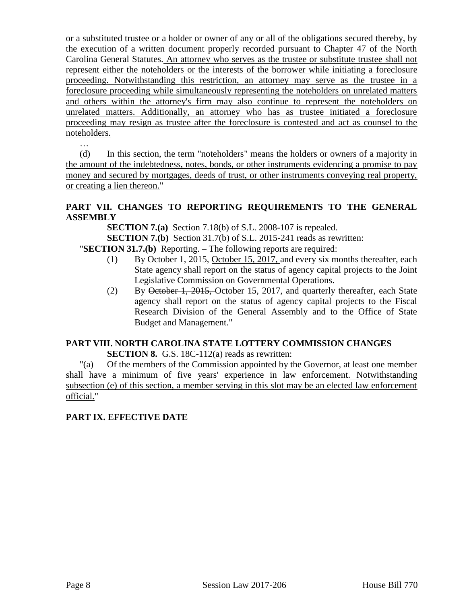or a substituted trustee or a holder or owner of any or all of the obligations secured thereby, by the execution of a written document properly recorded pursuant to Chapter 47 of the North Carolina General Statutes. An attorney who serves as the trustee or substitute trustee shall not represent either the noteholders or the interests of the borrower while initiating a foreclosure proceeding. Notwithstanding this restriction, an attorney may serve as the trustee in a foreclosure proceeding while simultaneously representing the noteholders on unrelated matters and others within the attorney's firm may also continue to represent the noteholders on unrelated matters. Additionally, an attorney who has as trustee initiated a foreclosure proceeding may resign as trustee after the foreclosure is contested and act as counsel to the noteholders.

(d) In this section, the term "noteholders" means the holders or owners of a majority in the amount of the indebtedness, notes, bonds, or other instruments evidencing a promise to pay money and secured by mortgages, deeds of trust, or other instruments conveying real property, or creating a lien thereon."

# **PART VII. CHANGES TO REPORTING REQUIREMENTS TO THE GENERAL ASSEMBLY**

**SECTION 7.(a)** Section 7.18(b) of S.L. 2008-107 is repealed.

**SECTION 7.(b)** Section 31.7(b) of S.L. 2015-241 reads as rewritten:

- "**SECTION 31.7.(b)** Reporting. The following reports are required:
	- (1) By October 1, 2015, October 15, 2017, and every six months thereafter, each State agency shall report on the status of agency capital projects to the Joint Legislative Commission on Governmental Operations.
	- (2) By October 1, 2015, October 15, 2017, and quarterly thereafter, each State agency shall report on the status of agency capital projects to the Fiscal Research Division of the General Assembly and to the Office of State Budget and Management."

# **PART VIII. NORTH CAROLINA STATE LOTTERY COMMISSION CHANGES**

**SECTION 8.** G.S. 18C-112(a) reads as rewritten:

"(a) Of the members of the Commission appointed by the Governor, at least one member shall have a minimum of five years' experience in law enforcement. Notwithstanding subsection (e) of this section, a member serving in this slot may be an elected law enforcement official."

## **PART IX. EFFECTIVE DATE**

…